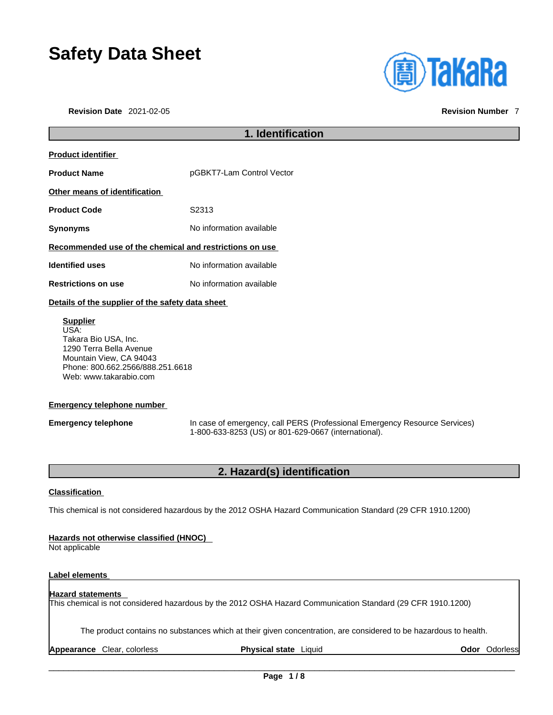# **Safety Data Sheet**

**Revision Date** 2021-02-05 **Revision Number** 7



# **1. Identification Product identifier Product Name pGBKT7-Lam Control Vector Other means of identification Supplier** USA: Takara Bio USA, Inc. 1290 Terra Bella Avenue

**Emergency telephone** In case of emergency, call PERS (Professional Emergency Resource Services) 1-800-633-8253 (US) or 801-629-0667 (international).

# **2. Hazard(s) identification**

# **Classification**

This chemical is not considered hazardous by the 2012 OSHA Hazard Communication Standard (29 CFR 1910.1200)

# **Hazards not otherwise classified (HNOC)**

Not applicable

# **Label elements**

# **Hazard statements**  This chemical is not considered hazardous by the 2012 OSHA Hazard Communication Standard (29 CFR 1910.1200)

The product contains no substances which at their given concentration, are considered to be hazardous to health.

**Appearance** Clear, colorless **Physical state** Liquid **Odor** Odorless

**Product Code 52313** 

**Synonyms** No information available

# **Recommended use of the chemical and restrictions on use**

**Identified uses** No information available

**Restrictions on use** No information available

# **Details of the supplier of the safety data sheet**

Mountain View, CA 94043 Phone: 800.662.2566/888.251.6618 Web: www.takarabio.com

# **Emergency telephone number**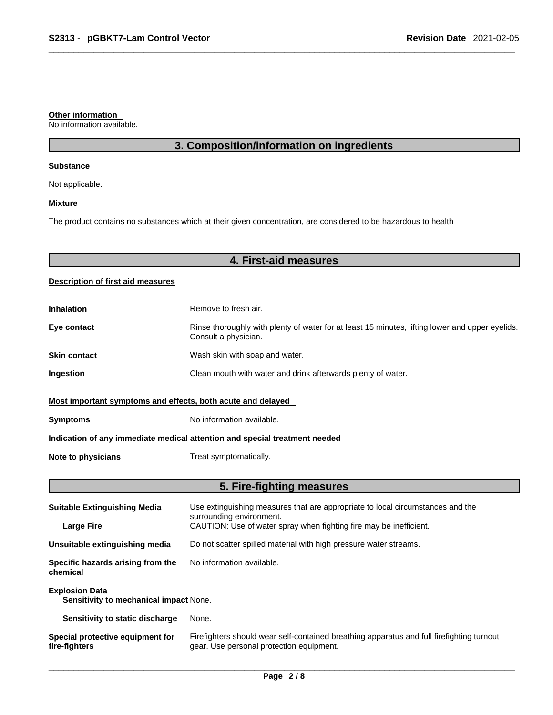#### **Other information**

No information available.

# **3. Composition/information on ingredients**

#### **Substance**

Not applicable.

# **Mixture**

The product contains no substances which at their given concentration, are considered to be hazardous to health

# **4. First-aid measures**

# **Description of first aid measures**

| <b>Inhalation</b>                                                          | Remove to fresh air.                                                                                                    |  |
|----------------------------------------------------------------------------|-------------------------------------------------------------------------------------------------------------------------|--|
| Eye contact                                                                | Rinse thoroughly with plenty of water for at least 15 minutes, lifting lower and upper eyelids.<br>Consult a physician. |  |
| <b>Skin contact</b>                                                        | Wash skin with soap and water.                                                                                          |  |
| <b>Ingestion</b>                                                           | Clean mouth with water and drink afterwards plenty of water.                                                            |  |
| Most important symptoms and effects, both acute and delayed                |                                                                                                                         |  |
| <b>Symptoms</b>                                                            | No information available.                                                                                               |  |
| Indication of any immediate medical attention and special treatment needed |                                                                                                                         |  |
| Note to physicians                                                         | Treat symptomatically.                                                                                                  |  |

# **5. Fire-fighting measures**

| <b>Suitable Extinguishing Media</b>                             | Use extinguishing measures that are appropriate to local circumstances and the<br>surrounding environment.<br>CAUTION: Use of water spray when fighting fire may be inefficient. |  |
|-----------------------------------------------------------------|----------------------------------------------------------------------------------------------------------------------------------------------------------------------------------|--|
| <b>Large Fire</b>                                               |                                                                                                                                                                                  |  |
| Unsuitable extinguishing media                                  | Do not scatter spilled material with high pressure water streams.                                                                                                                |  |
| Specific hazards arising from the<br>chemical                   | No information available.                                                                                                                                                        |  |
| <b>Explosion Data</b><br>Sensitivity to mechanical impact None. |                                                                                                                                                                                  |  |
| Sensitivity to static discharge                                 | None.                                                                                                                                                                            |  |
| Special protective equipment for<br>fire-fighters               | Firefighters should wear self-contained breathing apparatus and full firefighting turnout<br>gear. Use personal protection equipment.                                            |  |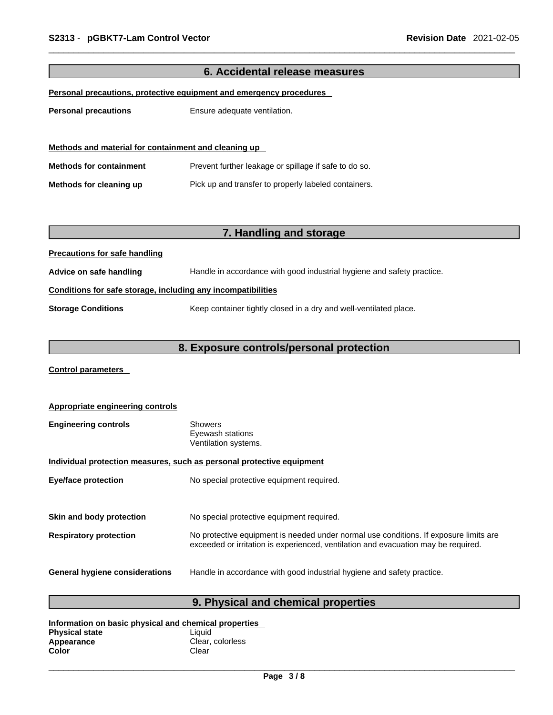| 6. Accidental release measures                                      |                                                                        |  |
|---------------------------------------------------------------------|------------------------------------------------------------------------|--|
| Personal precautions, protective equipment and emergency procedures |                                                                        |  |
| <b>Personal precautions</b>                                         | Ensure adequate ventilation.                                           |  |
|                                                                     |                                                                        |  |
| Methods and material for containment and cleaning up                |                                                                        |  |
| <b>Methods for containment</b>                                      | Prevent further leakage or spillage if safe to do so.                  |  |
| Methods for cleaning up                                             | Pick up and transfer to properly labeled containers.                   |  |
|                                                                     |                                                                        |  |
|                                                                     |                                                                        |  |
|                                                                     | 7. Handling and storage                                                |  |
| <b>Precautions for safe handling</b>                                |                                                                        |  |
| Advice on safe handling                                             | Handle in accordance with good industrial hygiene and safety practice. |  |
| Conditions for safe storage, including any incompatibilities        |                                                                        |  |
| <b>Storage Conditions</b>                                           | Keep container tightly closed in a dry and well-ventilated place.      |  |
|                                                                     |                                                                        |  |
| 8. Exposure controls/personal protection                            |                                                                        |  |

**Control parameters** 

| Appropriate engineering controls                                      |                                                                                                                                                                             |  |
|-----------------------------------------------------------------------|-----------------------------------------------------------------------------------------------------------------------------------------------------------------------------|--|
| <b>Engineering controls</b>                                           | <b>Showers</b><br>Eyewash stations<br>Ventilation systems.                                                                                                                  |  |
| Individual protection measures, such as personal protective equipment |                                                                                                                                                                             |  |
| <b>Eye/face protection</b>                                            | No special protective equipment required.                                                                                                                                   |  |
|                                                                       |                                                                                                                                                                             |  |
| Skin and body protection                                              | No special protective equipment required.                                                                                                                                   |  |
| <b>Respiratory protection</b>                                         | No protective equipment is needed under normal use conditions. If exposure limits are<br>exceeded or irritation is experienced, ventilation and evacuation may be required. |  |
| <b>General hygiene considerations</b>                                 | Handle in accordance with good industrial hygiene and safety practice.                                                                                                      |  |

# **9. Physical and chemical properties**

| Information on basic physical and chemical properties |                  |  |
|-------------------------------------------------------|------------------|--|
| <b>Physical state</b>                                 | Liauid           |  |
| Appearance                                            | Clear, colorless |  |
| Color                                                 | Clear            |  |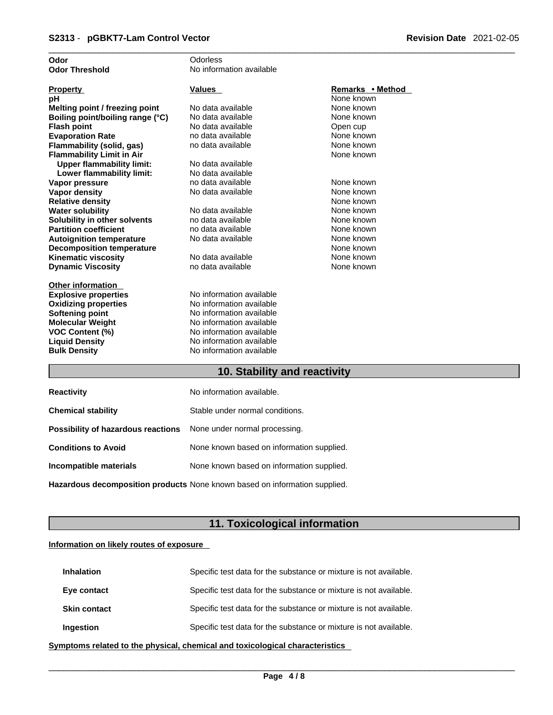| Odor                             | Odorless                 |                  |
|----------------------------------|--------------------------|------------------|
| <b>Odor Threshold</b>            | No information available |                  |
|                                  |                          |                  |
| <b>Property</b>                  | <b>Values</b>            | Remarks • Method |
| рH                               |                          | None known       |
| Melting point / freezing point   | No data available        | None known       |
| Boiling point/boiling range (°C) | No data available        | None known       |
| <b>Flash point</b>               | No data available        | Open cup         |
| <b>Evaporation Rate</b>          | no data available        | None known       |
| Flammability (solid, gas)        | no data available        | None known       |
| <b>Flammability Limit in Air</b> |                          | None known       |
| <b>Upper flammability limit:</b> | No data available        |                  |
| Lower flammability limit:        | No data available        |                  |
| Vapor pressure                   | no data available        | None known       |
| <b>Vapor density</b>             | No data available        | None known       |
| <b>Relative density</b>          |                          | None known       |
| <b>Water solubility</b>          | No data available        | None known       |
| Solubility in other solvents     | no data available        | None known       |
| <b>Partition coefficient</b>     | no data available        | None known       |
| <b>Autoignition temperature</b>  | No data available        | None known       |
| <b>Decomposition temperature</b> |                          | None known       |
| <b>Kinematic viscosity</b>       | No data available        | None known       |
| <b>Dynamic Viscosity</b>         | no data available        | None known       |
|                                  |                          |                  |
| <b>Other information</b>         |                          |                  |
| <b>Explosive properties</b>      | No information available |                  |
| <b>Oxidizing properties</b>      | No information available |                  |
| <b>Softening point</b>           | No information available |                  |
| <b>Molecular Weight</b>          | No information available |                  |
| <b>VOC Content (%)</b>           | No information available |                  |
| <b>Liquid Density</b>            | No information available |                  |
| <b>Bulk Density</b>              | No information available |                  |
|                                  | .                        |                  |

# **10. Stability and reactivity**

| <b>Reactivity</b>                                                       | No information available.                 |
|-------------------------------------------------------------------------|-------------------------------------------|
| <b>Chemical stability</b>                                               | Stable under normal conditions.           |
| <b>Possibility of hazardous reactions</b> None under normal processing. |                                           |
| <b>Conditions to Avoid</b>                                              | None known based on information supplied. |
| Incompatible materials                                                  | None known based on information supplied. |
|                                                                         |                                           |

**Hazardous decomposition products** None known based on information supplied.

# **11. Toxicological information**

# **Information on likely routes of exposure**

| <b>Inhalation</b>   | Specific test data for the substance or mixture is not available. |
|---------------------|-------------------------------------------------------------------|
| Eye contact         | Specific test data for the substance or mixture is not available. |
| <b>Skin contact</b> | Specific test data for the substance or mixture is not available. |
| <b>Ingestion</b>    | Specific test data for the substance or mixture is not available. |

**<u>Symptoms related to the physical, chemical and toxicological characteristics</u>**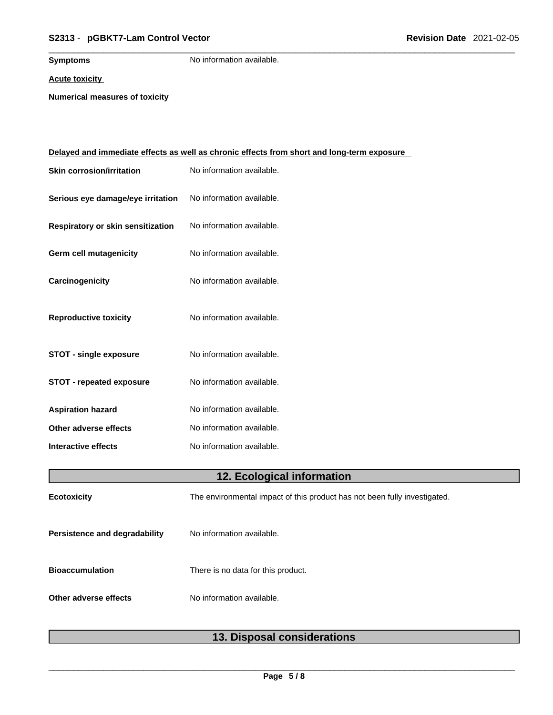# \_\_\_\_\_\_\_\_\_\_\_\_\_\_\_\_\_\_\_\_\_\_\_\_\_\_\_\_\_\_\_\_\_\_\_\_\_\_\_\_\_\_\_\_\_\_\_\_\_\_\_\_\_\_\_\_\_\_\_\_\_\_\_\_\_\_\_\_\_\_\_\_\_\_\_\_\_\_\_\_\_\_\_\_\_\_\_\_\_\_\_\_\_ **S2313** - **pGBKT7-Lam Control Vector Revision Date** 2021-02-05

**Symptoms** No information available.

**Acute toxicity**

**Numerical measures of toxicity**

|                                   | <u>Delayed and immediate effects as well as chronic effects from short and long-term exposure</u> |
|-----------------------------------|---------------------------------------------------------------------------------------------------|
| <b>Skin corrosion/irritation</b>  | No information available.                                                                         |
| Serious eye damage/eye irritation | No information available.                                                                         |
| Respiratory or skin sensitization | No information available.                                                                         |
| Germ cell mutagenicity            | No information available.                                                                         |
| Carcinogenicity                   | No information available.                                                                         |
| <b>Reproductive toxicity</b>      | No information available.                                                                         |
| <b>STOT - single exposure</b>     | No information available.                                                                         |
| <b>STOT - repeated exposure</b>   | No information available.                                                                         |
| <b>Aspiration hazard</b>          | No information available.                                                                         |
| Other adverse effects             | No information available.                                                                         |
| Interactive effects               | No information available.                                                                         |
|                                   | 12. Ecological information                                                                        |
| <b>Ecotoxicity</b>                | The environmental impact of this product has not been fully investigated.                         |
| Persistence and degradability     | No information available.                                                                         |
| <b>Bioaccumulation</b>            | There is no data for this product.                                                                |
| Other adverse effects             | No information available.                                                                         |
|                                   |                                                                                                   |

# **13. Disposal considerations**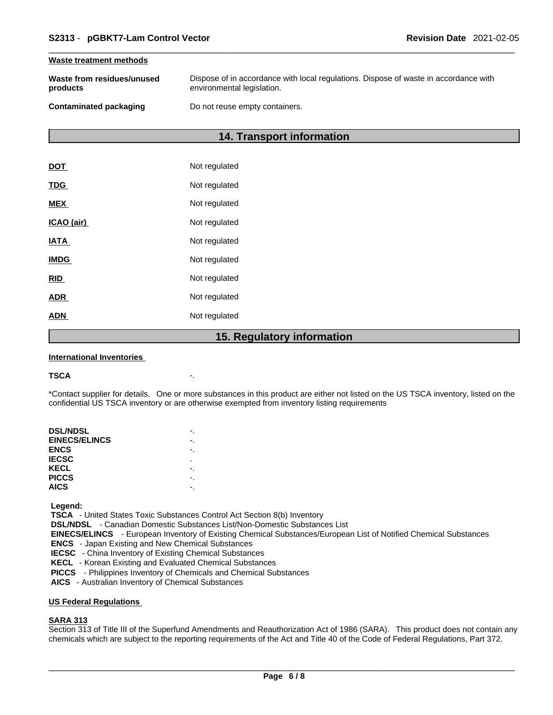#### **Waste treatment methods**

| Waste from residues/unused | Dispose of in accordance with local regulations. Dispose of waste in accordance with |
|----------------------------|--------------------------------------------------------------------------------------|
| products                   | environmental legislation.                                                           |
| Contaminated packaging     | Do not reuse empty containers.                                                       |

# **14. Transport information**

|             | 15. Regulatory information |
|-------------|----------------------------|
| <b>ADN</b>  | Not regulated              |
| <b>ADR</b>  | Not regulated              |
| <b>RID</b>  | Not regulated              |
| <b>IMDG</b> | Not regulated              |
| <b>IATA</b> | Not regulated              |
| ICAO (air)  | Not regulated              |
| <b>MEX</b>  | Not regulated              |
| <b>TDG</b>  | Not regulated              |
| <b>DOT</b>  | Not regulated              |

#### **International Inventories**

#### **TSCA** -.

\*Contact supplier for details. One or more substances in this product are either not listed on the US TSCA inventory, listed on the confidential US TSCA inventory or are otherwise exempted from inventory listing requirements

| <b>DSL/NDSL</b>      |   |
|----------------------|---|
| <b>EINECS/ELINCS</b> |   |
| <b>ENCS</b>          |   |
| <b>IECSC</b>         | ٠ |
| KECL                 |   |
| <b>PICCS</b>         |   |
| <b>AICS</b>          |   |
|                      |   |

 **Legend:** 

 **TSCA** - United States Toxic Substances Control Act Section 8(b) Inventory

 **DSL/NDSL** - Canadian Domestic Substances List/Non-Domestic Substances List

 **EINECS/ELINCS** - European Inventory of Existing Chemical Substances/European List of Notified Chemical Substances

 **ENCS** - Japan Existing and New Chemical Substances

 **IECSC** - China Inventory of Existing Chemical Substances

 **KECL** - Korean Existing and Evaluated Chemical Substances

 **PICCS** - Philippines Inventory of Chemicals and Chemical Substances

 **AICS** - Australian Inventory of Chemical Substances

#### **US Federal Regulations**

# **SARA 313**

Section 313 of Title III of the Superfund Amendments and Reauthorization Act of 1986 (SARA). This product does not contain any chemicals which are subject to the reporting requirements of the Act and Title 40 of the Code of Federal Regulations, Part 372.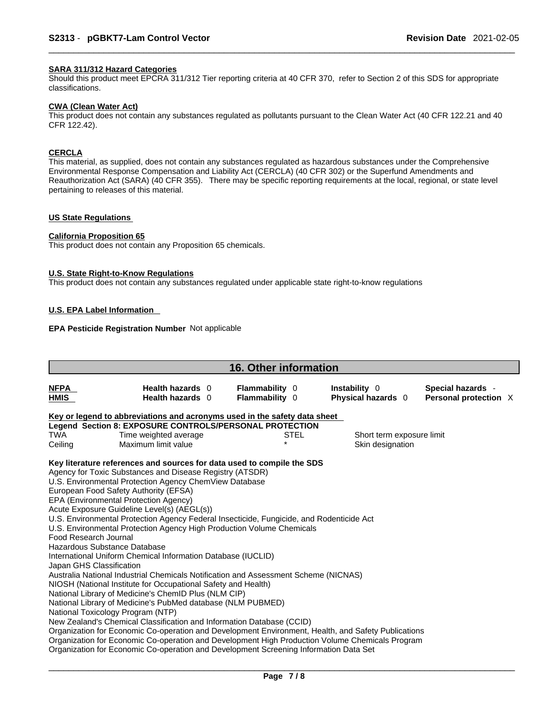# **SARA 311/312 Hazard Categories**

Should this product meet EPCRA 311/312 Tier reporting criteria at 40 CFR 370, refer to Section 2 of this SDS for appropriate classifications.

#### **CWA (Clean WaterAct)**

This product does not contain any substances regulated as pollutants pursuant to the Clean Water Act (40 CFR 122.21 and 40 CFR 122.42).

# **CERCLA**

This material, as supplied, does not contain any substances regulated as hazardous substances under the Comprehensive Environmental Response Compensation and Liability Act (CERCLA) (40 CFR 302) or the Superfund Amendments and Reauthorization Act (SARA) (40 CFR 355). There may be specific reporting requirements at the local, regional, or state level pertaining to releases of this material.

# **US State Regulations**

#### **California Proposition 65**

This product does not contain any Proposition 65 chemicals.

#### **U.S. State Right-to-Know Regulations**

This product does not contain any substances regulated under applicable state right-to-know regulations

# **U.S. EPA Label Information**

# **EPA Pesticide Registration Number** Not applicable

| <b>16. Other information</b>                                              |                                                                                                                                                                                                                                                                                                                                                                                                                                                                                                                                                                                                                                                                                                                                                                                                                                                                                   |  |                                         |             |                                     |  |                                            |  |  |
|---------------------------------------------------------------------------|-----------------------------------------------------------------------------------------------------------------------------------------------------------------------------------------------------------------------------------------------------------------------------------------------------------------------------------------------------------------------------------------------------------------------------------------------------------------------------------------------------------------------------------------------------------------------------------------------------------------------------------------------------------------------------------------------------------------------------------------------------------------------------------------------------------------------------------------------------------------------------------|--|-----------------------------------------|-------------|-------------------------------------|--|--------------------------------------------|--|--|
| <b>NFPA</b><br>HMIS                                                       | Health hazards 0<br>Health hazards 0                                                                                                                                                                                                                                                                                                                                                                                                                                                                                                                                                                                                                                                                                                                                                                                                                                              |  | <b>Flammability 0</b><br>Flammability 0 |             | Instability 0<br>Physical hazards 0 |  | Special hazards -<br>Personal protection X |  |  |
| Key or legend to abbreviations and acronyms used in the safety data sheet |                                                                                                                                                                                                                                                                                                                                                                                                                                                                                                                                                                                                                                                                                                                                                                                                                                                                                   |  |                                         |             |                                     |  |                                            |  |  |
|                                                                           | Legend Section 8: EXPOSURE CONTROLS/PERSONAL PROTECTION                                                                                                                                                                                                                                                                                                                                                                                                                                                                                                                                                                                                                                                                                                                                                                                                                           |  |                                         |             |                                     |  |                                            |  |  |
| <b>TWA</b>                                                                | Time weighted average                                                                                                                                                                                                                                                                                                                                                                                                                                                                                                                                                                                                                                                                                                                                                                                                                                                             |  |                                         | <b>STEL</b> | Short term exposure limit           |  |                                            |  |  |
| Ceiling                                                                   | Maximum limit value                                                                                                                                                                                                                                                                                                                                                                                                                                                                                                                                                                                                                                                                                                                                                                                                                                                               |  |                                         |             | Skin designation                    |  |                                            |  |  |
| Food Research Journal<br>Japan GHS Classification                         | Key literature references and sources for data used to compile the SDS<br>Agency for Toxic Substances and Disease Registry (ATSDR)<br>U.S. Environmental Protection Agency ChemView Database<br>European Food Safety Authority (EFSA)<br>EPA (Environmental Protection Agency)<br>Acute Exposure Guideline Level(s) (AEGL(s))<br>U.S. Environmental Protection Agency Federal Insecticide, Fungicide, and Rodenticide Act<br>U.S. Environmental Protection Agency High Production Volume Chemicals<br>Hazardous Substance Database<br>International Uniform Chemical Information Database (IUCLID)<br>Australia National Industrial Chemicals Notification and Assessment Scheme (NICNAS)<br>NIOSH (National Institute for Occupational Safety and Health)<br>National Library of Medicine's ChemID Plus (NLM CIP)<br>National Library of Medicine's PubMed database (NLM PUBMED) |  |                                         |             |                                     |  |                                            |  |  |
|                                                                           | National Toxicology Program (NTP)<br>New Zealand's Chemical Classification and Information Database (CCID)<br>Organization for Economic Co-operation and Development Environment, Health, and Safety Publications<br>Organization for Economic Co-operation and Development High Production Volume Chemicals Program<br>Organization for Economic Co-operation and Development Screening Information Data Set                                                                                                                                                                                                                                                                                                                                                                                                                                                                     |  |                                         |             |                                     |  |                                            |  |  |